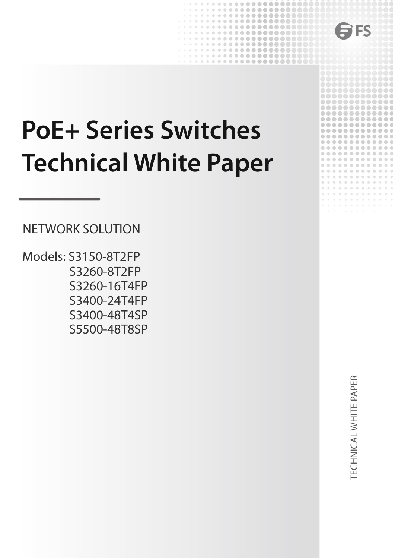

# **PoE+ Series Switches**<br> **PoE+ Series Switches<br>
Technical White Paper<br>
METWORK SOLUTION FFS**<br> **PoE+ Series Switches**<br> **Technical White Paper**<br>
<u>NETWORK SOLUTION</u><br>
Models: S3150-8T2FP<br>
S3260-16T4EP **PoE+ Series Switches<br>Technical White Paper<br>ANETWORK SOLUTION<br>Models: S3150-8T2FP<br>S3260-8T2FP<br>S3260-16T4FP**

Models: S3150-8T2FP S3260-8T2FP S3260-16T4FP S3400-24T4FP S3400-48T4SP S5500-48T8SP TECHNICAL WHITE PAPER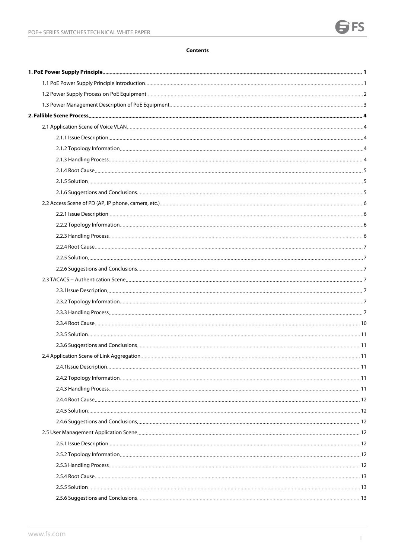### **Contents**

<span id="page-1-0"></span>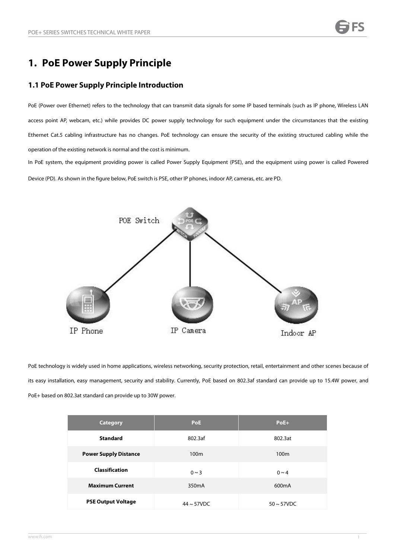# **1. PoE Power Supply Principle**

# <span id="page-2-0"></span>**1.1 PoE Power Supply Principle Introduction**

PoE (Power over Ethernet) refers to the technology that can transmit data signals for some IP based terminals (such as IP phone, Wireless LAN access point AP, webcam, etc.) while provides DC power supply technology for such equipment under the circumstances that the existing Ethernet Cat.5 cabling infrastructure has no changes. PoE technology can ensure the security of the existing structured cabling while the operation of the existing network is normal and the cost is minimum.

In PoE system, the equipment providing power is called Power Supply Equipment (PSE), and the equipment using power is called Powered Device (PD). As shown in the figure below,PoE switch is PSE, other IP phones, indoor AP, cameras, etc. are PD.



PoE technology is widely used in home applications, wireless networking, security protection, retail, entertainment and other scenes because of its easy installation, easy management, security and stability. Currently, PoE based on 802.3af standard can provide up to 15.4W power, and PoE+ based on 802.3at standard can provide up to 30W power.

| <b>Category</b>              | <b>PoE</b>         | $PoE+$             |
|------------------------------|--------------------|--------------------|
| <b>Standard</b>              | 802.3af            | 802.3at            |
| <b>Power Supply Distance</b> | 100 <sub>m</sub>   | 100 <sub>m</sub>   |
| <b>Classification</b>        | $0 \sim 3$         | $0 \sim 4$         |
| <b>Maximum Current</b>       | 350 <sub>m</sub> A | 600 <sub>m</sub> A |
| <b>PSE Output Voltage</b>    | $44 \sim 57$ VDC   | $50 \sim 57$ VDC   |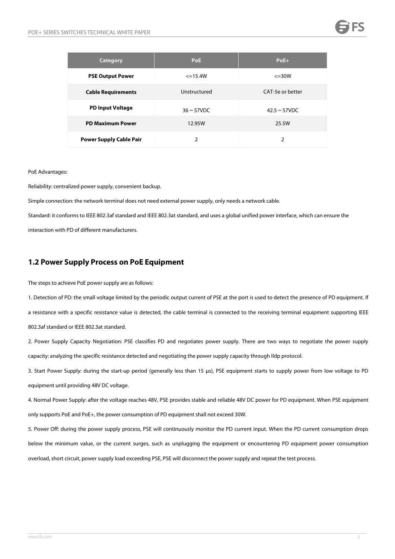### POE+ SERIES SWITCHES TECHNICAL WHITE PAPER

| <b>Category</b>                | <b>PoE</b>       | $PoE+$             |
|--------------------------------|------------------|--------------------|
| <b>PSE Output Power</b>        | $\leq$ =15.4W    | $\leq$ =30W        |
| <b>Cable Requirements</b>      | Unstructured     | CAT-5e or better   |
| <b>PD Input Voltage</b>        | $36 \sim 57$ VDC | $42.5 \sim 57$ VDC |
| <b>PD Maximum Power</b>        | 12.95W           | 25.5W              |
| <b>Power Supply Cable Pair</b> | $\mathfrak{D}$   | 2                  |

PoE Advantages:<br>Reliability: centralized power supply, convenient backup.

Simple connection: the network terminal does not need external power supply, only needs a network cable.

Standard: it conforms to IEEE 802.3af standard and IEEE 802.3at standard, and uses a global unified power interface, which can ensure the interaction with PD of different manufacturers.

# <span id="page-3-0"></span>**1.2 Power Supply Process on PoE Equipment**

The steps to achieve PoE power supply are as follows:

1. Detection of PD: the small voltage limited by the periodic output current of PSE at the port is used to detect the presence of PD equipment. If a resistance with a specific resistance value is detected, the cable terminal is connected to the receiving terminal equipment supporting IEEE 802.3af standard or IEEE 802.3at standard.

2. Power Supply Capacity Negotiation: PSE classifies PD and negotiates power supply. There are two ways to negotiate the power supply capacity: analyzing the specific resistance detected and negotiating the power supply capacity through lldp protocol.

3. Start Power Supply: during the start-up period (generally less than 15 μs), PSE equipment starts to supply power from lowvoltage to PD equipment until providing 48V DC voltage.

4. Normal Power Supply: after the voltage reaches 48V, PSE provides stable and reliable 48V DC power for PD equipment. When PSE equipment only supports PoE and PoE+, the power consumption of PD equipment shall not exceed 30W.

5. Power Off: during the power supply process, PSE will continuously monitor the PD current input. When the PD current consumption drops below the minimum value, or the current surges, such as unplugging the equipment or encountering PD equipment power consumption overload, short circuit, power supply load exceeding PSE, PSE will disconnect the power supply and repeat the test process.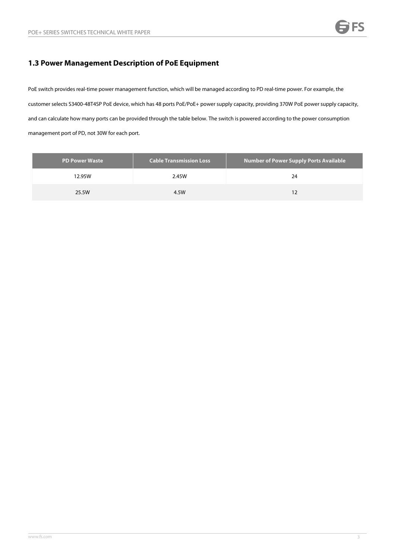# <span id="page-4-0"></span>**1.3 Power Management Description of PoE Equipment**

PoE switch provides real-time power management function, which will be managed according to PD real-time power. For example, the customer selects S3400-48T4SP PoE device, which has 48 ports PoE/PoE+ power supply capacity, providing 370W PoE power supply capacity, and can calculate how many ports can be provided through the table below. The switch is powered according to the power consumption management port of PD, not 30W for each port.

| PD Power Waste | <b>Cable Transmission Loss</b> | <b>Number of Power Supply Ports Available</b> |
|----------------|--------------------------------|-----------------------------------------------|
| 12.95W         | 2.45W                          | 24                                            |
| 25.5W          | 4.5W                           |                                               |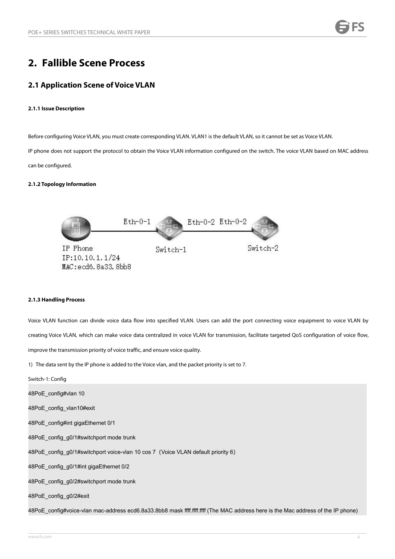# <span id="page-5-0"></span>**2. Fallible Scene Process**

# <span id="page-5-1"></span>**2.1 Application Scene of Voice VLAN**

### <span id="page-5-2"></span>**2.1.1 Issue Description**

Before configuring Voice VLAN, you must create corresponding VLAN. VLAN1 is the default VLAN, so it cannot be set as Voice VLAN.

IP phone does not support the protocol to obtain the Voice VLAN information configured on the switch. The voice VLAN based on MAC address can be configured.

### <span id="page-5-3"></span>**2.1.2 Topology Information**



### <span id="page-5-4"></span>**2.1.3 Handling Process**

Voice VLAN function can divide voice data flow into specified VLAN. Users can add the port connecting voice equipment to voice VLAN by creating Voice VLAN, which can make voice data centralized in voice VLAN for transmission, facilitate targeted QoS configuration of voice flow,

improve the transmission priority of voice traffic, and ensure voice quality.<br>1) The data sent by the IP phone is added to the Voice vlan, and the packet priority is set to 7.

Switch-1: Config 48PoE\_config#vlan 10 48PoE\_config\_vlan10#exit 48PoE\_config#int gigaEthernet 0/1 48PoE\_config\_g0/1#switchport mode trunk 48PoE\_config\_g0/1#switchport voice-vlan 10 cos 7(Voice VLAN default priority 6) 48PoE\_config\_g0/1#int gigaEthernet 0/2 48PoE\_config\_g0/2#switchport mode trunk 48PoE\_config\_g0/2#exit 48PoE\_config#voice-vlan mac-address ecd6.8a33.8bb8 mask ffff.ffff.ffff (The MAC address here is the Mac address of the IP phone)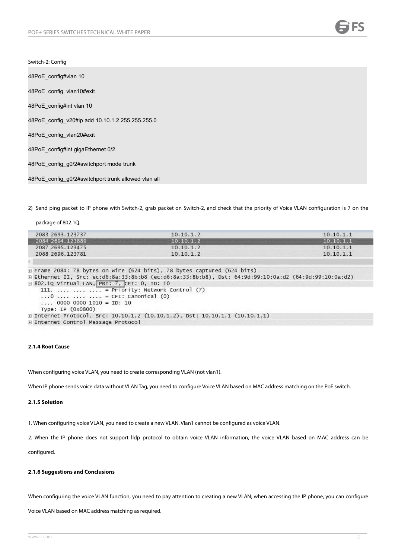Switch-2: Config

48PoE\_config#vlan 10 48PoE config\_vlan10#exit 48PoE\_config#int vlan 10 48PoE\_config\_v20#ip add 10.10.1.2 255.255.255.0 48PoE config\_vlan20#exit 48PoE\_config#int gigaEthernet 0/2 48PoE\_config\_g0/2#switchport mode trunk 48PoE\_config\_q0/2#switchport trunk allowed vlan all

2) Send ping packet to IP phone with Switch-2, grab packet on Switch-2, and check that the priority of Voice VLAN configuration is 7 on the

| package of 802.1Q.                                                                                                                                                                                                       |                                                                                                       |           |
|--------------------------------------------------------------------------------------------------------------------------------------------------------------------------------------------------------------------------|-------------------------------------------------------------------------------------------------------|-----------|
| 2083 2693.123737                                                                                                                                                                                                         | 10.10.1.2                                                                                             | 10.10.1.1 |
| 2084 2694.123889                                                                                                                                                                                                         | 10.10.1.2                                                                                             | 10.10.1.1 |
| 2087 2695.123475                                                                                                                                                                                                         | 10.10.1.2                                                                                             | 10.10.1.1 |
| 2088 2696.123781                                                                                                                                                                                                         | 10.10.1.2                                                                                             | 10.10.1.1 |
|                                                                                                                                                                                                                          |                                                                                                       |           |
| $\exists$ 802.10 Virtual LAN, PRI: 7, CFI: 0, ID: 10<br>111.    = Priority: Network Control (7)<br>$\ldots 0 \ldots \ldots \ldots \ldots = CFT$ : Canonical (0)<br>$\ldots$ 0000 0000 1010 = ID: 10<br>Type: IP (0x0800) | E Ethernet II, Src: ec:d6:8a:33:8b:b8 (ec:d6:8a:33:8b:b8), Dst: 64:9d:99:10:0a:d2 (64:9d:99:10:0a:d2) |           |
|                                                                                                                                                                                                                          | E Internet Protocol, Src: 10.10.1.2 (10.10.1.2), Dst: 10.10.1.1 (10.10.1.1)                           |           |
| E Internet Control Message Protocol                                                                                                                                                                                      |                                                                                                       |           |

### <span id="page-6-0"></span>**2.1.4 Root Cause**

When configuring voice VLAN, you need to create corresponding VLAN (not vlan1).

When IP phone sends voice data without VLAN Tag, you need to configure Voice VLAN based on MAC address matching on the PoE switch.

### <span id="page-6-1"></span>**2.1.5 Solution**

1. When configuring voice VLAN, you need to create a new VLAN. Vlan1 cannot be configured as voice VLAN.

2. When the IP phone does not support lldp protocol to obtain voice VLAN information, the voice VLAN based on MAC address can be

configured.

### <span id="page-6-2"></span>**2.1.6 Suggestions and Conclusions**

When configuring the voice VLAN function, you need to pay attention to creating a new VLAN; when accessing the IP phone, you can configure

Voice VLAN based on MAC addressmatching as required.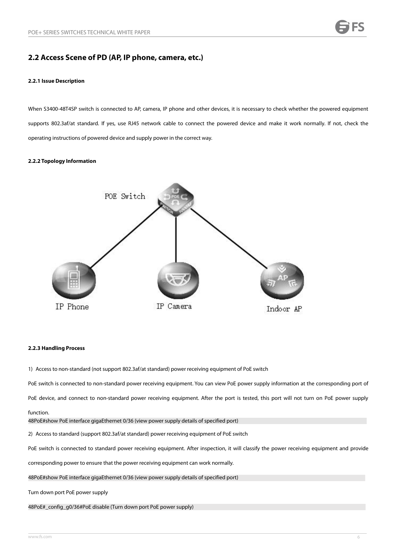# <span id="page-7-0"></span>**2.2 Access Scene of PD (AP, IP phone, camera, etc.)**

### <span id="page-7-1"></span>**2.2.1 Issue Description**

When S3400-48T4SP switch is connected to AP, camera, IP phone and other devices, it is necessary to check whether the powered equipment supports 802.3af/at standard. If yes, use RJ45 network cable to connect the powered device and make it work normally. If not, check the operating instructions of powered device and supply power in the correct way.

### <span id="page-7-2"></span>**2.2.2 Topology Information**



### <span id="page-7-3"></span>**2.2.3 Handling Process**

1) Access to non-standard (not support 802.3af/at standard) power receiving equipment of PoE switch

PoE switch is connected to non-standard power receiving equipment. You can view PoE power supply information at the corresponding port of

PoE device, and connect to non-standard power receiving equipment. After the port is tested, this port will not turn on PoE power supply

### function.

48PoE#show PoE interface gigaEthernet 0/36 (view power supply details of specified port)

2) Access to standard (support 802.3af/at standard) power receiving equipment of PoE switch

PoE switch is connected to standard power receiving equipment. After inspection, it will classify the power receiving equipment and provide

corresponding power to ensure that the power receiving equipment can work normally.

48PoE#show PoE interface gigaEthernet 0/36 (view power supply details of specified port)

Turn down port PoE power supply

48PoE#\_config\_g0/36#PoE disable (Turn down port PoE power supply)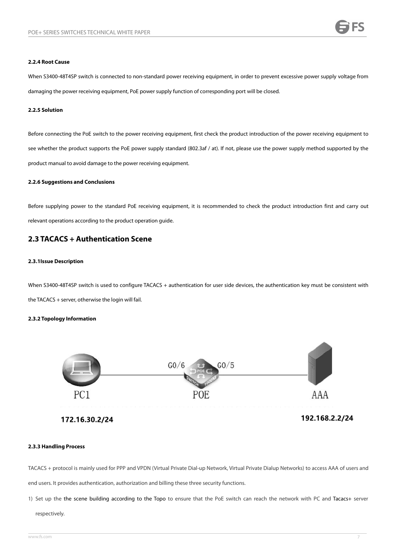### <span id="page-8-0"></span>**2.2.4 Root Cause**

When S3400-48T4SP switch is connected to non-standard power receiving equipment, in order to prevent excessive power supply voltage from damaging the power receiving equipment, PoE powersupply function of corresponding port will be closed.

### <span id="page-8-1"></span>**2.2.5 Solution**

Before connecting the PoE switch to the power receiving equipment, first check the product introduction of the power receiving equipment to see whether the product supports the PoE power supply standard (802.3af /at). If not, please use the power supply method supported by the product manual to avoid damage to the power receiving equipment.

### <span id="page-8-2"></span>**2.2.6 Suggestions and Conclusions**

Before supplying power to the standard PoE receiving equipment, it is recommended to check the product introduction first and carry out relevant operations according to the product operation guide.

# <span id="page-8-3"></span>**2.3 TACACS + Authentication Scene**

### <span id="page-8-4"></span>**2.3.1Issue Description**

When S3400-48T4SP switch is used to configure TACACS + authentication for user side devices, the authentication key must be consistent with the TACACS + server, otherwise the login will fail.

### <span id="page-8-5"></span>**2.3.2 Topology Information**



172.16.30.2/24

192.168.2.2/24

### <span id="page-8-6"></span>**2.3.3 Handling Process**

TACACS + protocol is mainly used for PPP and VPDN (Virtual Private Dial-up Network, Virtual Private Dialup Networks) to accessAAA of users and end users. It provides authentication, authorization and billing these three security functions.

1) Set up the the scene building according to the Topo to ensure that the PoE switch can reach the network with PC and Tacacs+ server

### respectively.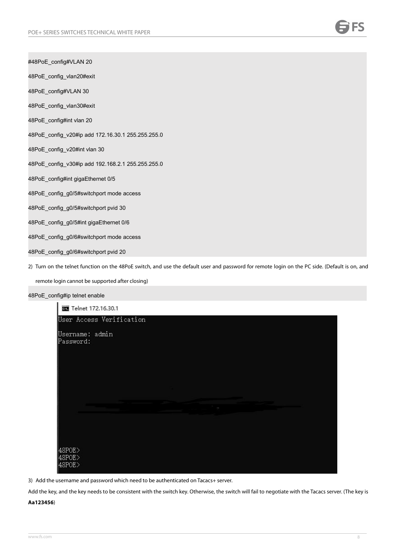#48PoE\_config#VLAN 20

48PoE\_config\_vlan20#exit

48PoE\_config#VLAN 30

48PoE config\_vlan30#exit

48PoE\_config#int vlan 20

48PoE\_config\_v20#ip add 172.16.30.1 255.255.255.0

48PoE\_config\_v20#int vlan 30

48PoE\_config\_v30#ip add 192.168.2.1 255.255.255.0

48PoE\_config#int gigaEthernet 0/5

48PoE\_config\_g0/5#switchport mode access

48PoE\_config\_g0/5#switchport pvid 30

48PoE\_config\_g0/5#int gigaEthernet 0/6

48PoE\_config\_g0/6#switchport mode access

48PoE\_config\_g0/6#switchport pvid 20

2) Turn on the telnet function on the 48PoE switch, and use the default user and password for remote login on the PC side. (Default is on, and

remote login cannot be supported after closing)

### 48PoE\_config#ip telnet enable

×.

| <b>BB</b> Telnet 172.16.30.1          |                          |          |  |
|---------------------------------------|--------------------------|----------|--|
|                                       | User Access Verification |          |  |
| Username: admin<br>Password:          |                          |          |  |
|                                       |                          |          |  |
|                                       |                          | $\cdots$ |  |
| 48POE><br>$ 48$ POE $>$<br>$ 48$ POE> |                          |          |  |

3) Add the username and password which need to be authenticated on Tacacs+ server.

Add the key, and the key needs to be consistent with the switch key. Otherwise, the switch will fail to negotiate with the Tacacs server. (The key is

**Aa123456**)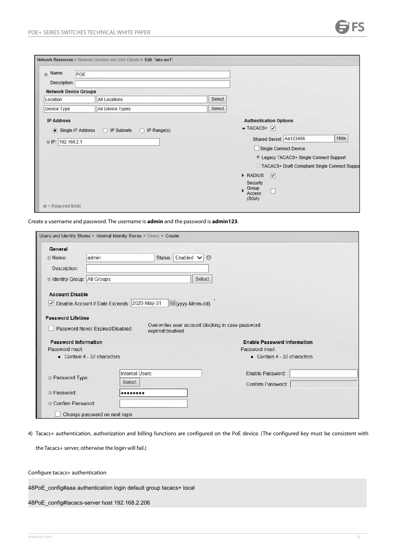| Name:<br>$\alpha$            | POE                                                         |        |                                                   |      |
|------------------------------|-------------------------------------------------------------|--------|---------------------------------------------------|------|
| Description:                 |                                                             |        |                                                   |      |
| <b>Network Device Groups</b> |                                                             |        |                                                   |      |
| Location                     | <b>All Locations</b>                                        | Select |                                                   |      |
| Device Type                  | All Device Types                                            | Select |                                                   |      |
| <b>IP Address</b>            |                                                             |        | <b>Authentication Options</b>                     |      |
|                              | Single IP Address<br>O IP Subnets<br>$\bigcirc$ IP Range(s) |        | $\blacktriangledown$ TACACS+ $\blacktriangledown$ |      |
|                              |                                                             |        |                                                   |      |
|                              |                                                             |        | Shared Secret: Aa123456                           | Hide |
| © IP: 192.168.2.1            |                                                             |        | Single Connect Device                             |      |
|                              |                                                             |        | <b>Elegacy TACACS+ Single Connect Support</b>     |      |
|                              |                                                             |        | TACACS+ Draft Compliant Single Connect Suppo      |      |
|                              |                                                             |        | RADIUS<br>∇                                       |      |
|                              |                                                             |        | Security                                          |      |
|                              |                                                             |        | Group<br>Access<br>(SGA)                          |      |

Create a username and password. The username is **admin** and the password is **admin123**.

| General                            |                                                |                       |                  |                                                   |                                               |  |
|------------------------------------|------------------------------------------------|-----------------------|------------------|---------------------------------------------------|-----------------------------------------------|--|
| ■ Name:                            | admin                                          |                       |                  | Status: Enabled V O                               |                                               |  |
| Description:                       |                                                |                       |                  |                                                   |                                               |  |
| <b>Eldentity Group: All Groups</b> |                                                |                       |                  | Select                                            |                                               |  |
| <b>Account Disable</b>             |                                                |                       |                  |                                                   |                                               |  |
|                                    | √ Disable Account if Date Exceeds: 2020-May-31 |                       |                  | (yyyy-Mmm-dd)                                     |                                               |  |
| <b>Password Lifetime</b>           |                                                |                       |                  | Overwrites user account blocking in case password |                                               |  |
| Password Information               | Password Never Expired/Disabled:               |                       | expired/disabled |                                                   | <b>Enable Password Information</b>            |  |
| Password must:                     | • Contain 4 - 32 characters                    |                       |                  |                                                   | Password must:<br>• Contain 4 - 32 characters |  |
|                                    |                                                | <b>Internal Users</b> |                  |                                                   | Enable Password:                              |  |
| Password Type:                     | Select                                         |                       |                  |                                                   | Confirm Password:                             |  |
| Password:                          |                                                |                       |                  |                                                   |                                               |  |

4) Tacacs+ authentication, authorization and billing functions are configured on the PoE device. (The configured keymust be consistent with

the Tacacs+ server, otherwise the login will fail.)

Configure tacacs+ authentication

48PoE\_config#aaa authentication login default group tacacs+ local

48PoE\_config#tacacs-server host 192.168.2.206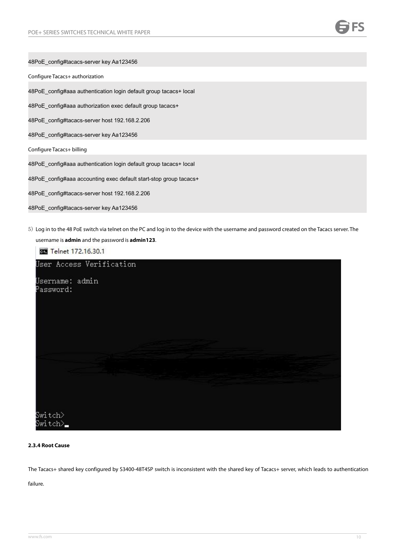| 48PoE config#tacacs-server key Aa123456                                                                                                       |
|-----------------------------------------------------------------------------------------------------------------------------------------------|
| Configure Tacacs+ authorization                                                                                                               |
| 48PoE config#aaa authentication login default group tacacs+ local                                                                             |
| 48PoE_config#aaa authorization exec default group tacacs+                                                                                     |
| 48PoE config#tacacs-server host 192.168.2.206                                                                                                 |
| 48PoE config#tacacs-server key Aa123456                                                                                                       |
| Configure Tacacs+ billing                                                                                                                     |
| 48PoE config#aaa authentication login default group tacacs+ local                                                                             |
| 48PoE_config#aaa accounting exec default start-stop group tacacs+                                                                             |
| 48PoE_config#tacacs-server host 192.168.2.206                                                                                                 |
| 48PoE config#tacacs-server key Aa123456                                                                                                       |
| 5) Log in to the 48 PoE switch via telnet on the PC and log in to the device with the username and password created on the Tacacs server. The |

```
username is admin and the password is admin123.
 Telnet 172.16.30.1
User Access Verification
Username: admin
Password:
Switch>
Switch>_
```
### <span id="page-11-0"></span>**2.3.4 Root Cause**

The Tacacs+ shared key configured by S3400-48T4SP switch is inconsistent with the shared key of Tacacs+ server, which leads to authentication

failure.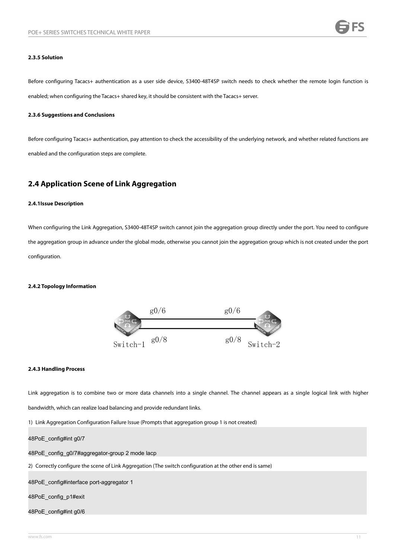### <span id="page-12-0"></span>**2.3.5 Solution**

Before configuring Tacacs+ authentication as a userside device, S3400-48T4SP switch needs to check whether the remote login function is enabled; when configuring the Tacacs+ shared key, it should be consistent with the Tacacs+ server.

### <span id="page-12-1"></span>**2.3.6 Suggestions and Conclusions**

Before configuring Tacacs+ authentication, pay attention to check the accessibility of the underlying network, and whether related functions are enabled and the configuration steps are complete.

## <span id="page-12-2"></span>**2.4 Application Scene of Link Aggregation**

### <span id="page-12-3"></span>**2.4.1Issue Description**

When configuring the Link Aggregation, S3400-48T4SP switch cannot join the aggregation group directly under the port. You need to configure the aggregation group in advance under the global mode, otherwise you cannot join the aggregation group which is not created under the port configuration.

### <span id="page-12-4"></span>**2.4.2 Topology Information**



### <span id="page-12-5"></span>**2.4.3 Handling Process**

Link aggregation is to combine two or more data channels into a single channel. The channel appears as a single logical link with higher

bandwidth, which can realize load balancing and provide redundant links.<br>1) Link Aggregation Configuration Failure Issue (Prompts that aggregation group 1 is not created)

48PoE\_config#int g0/7

48PoE\_config\_g0/7#aggregator-group 2 mode lacp

2) Correctly configure the scene of Link Aggregation (The switch configuration at the other end issame)

48PoE\_config#interface port-aggregator 1

48PoE\_config\_p1#exit

48PoE\_config#int g0/6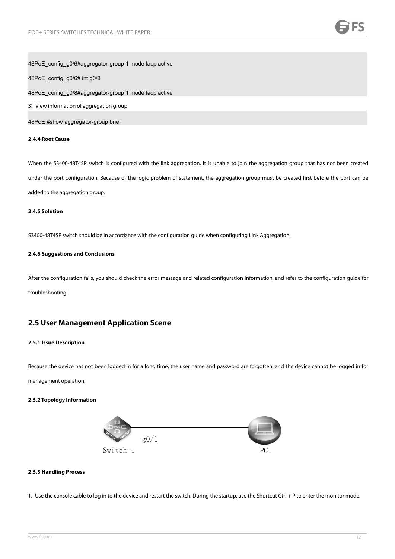### 48PoE\_config\_g0/6#aggregator-group 1 mode lacp active

48PoE\_config\_g0/6# int g0/8

48PoE\_config\_g0/8#aggregator-group 1 mode lacp active

3) View information of aggregation group

48PoE #show aggregator-group brief

### <span id="page-13-0"></span>**2.4.4 Root Cause**

When the S3400-48T4SP switch is configured with the link aggregation, it is unable to join the aggregation group that has not been created under the port configuration. Because of the logic problem of statement, the aggregation group must be created first before the port can be added to the aggregation group.

### <span id="page-13-1"></span>**2.4.5 Solution**

S3400-48T4SP switch should be in accordance with the configuration guide when configuring Link Aggregation.

### <span id="page-13-2"></span>**2.4.6 Suggestions and Conclusions**

After the configuration fails, you should check the error message and related configuration information, and refer to the configuration guide for troubleshooting.

# <span id="page-13-3"></span>**2.5 User Management Application Scene**

### <span id="page-13-4"></span>**2.5.1 Issue Description**

Because the device has not been logged in for a long time, the user name and password are forgotten, and the device cannot be logged in for management operation.

### <span id="page-13-5"></span>**2.5.2 Topology Information**



### <span id="page-13-6"></span>**2.5.3 Handling Process**

1. Use the console cable to log in to the device and restart the switch. During the startup, use the Shortcut Ctrl + P to enter the monitor mode.